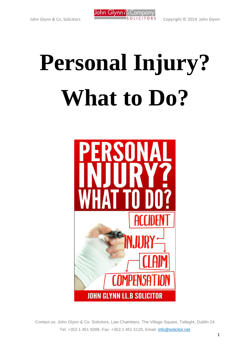

# **Personal Injury? What to Do?**

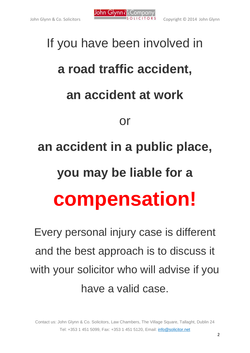

## If you have been involved in **a road traffic accident, an accident at work** or **an accident in a public place, you may be liable for a compensation!**

Every personal injury case is different and the best approach is to discuss it with your solicitor who will advise if you have a valid case.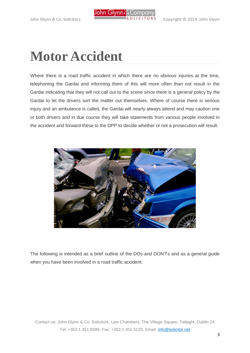

### **Motor Accident**

Where there is a road traffic accident in which there are no obvious injuries at the time, telephoning the Gardai and informing them of this will more often than not result in the Gardai indicating that they will not call out to the scene since there is a general policy by the Gardai to let the drivers sort the matter out themselves. Where of course there is serious injury and an ambulance is called, the Gardai will nearly always attend and may caution one or both drivers and in due course they will take statements from various people involved in the accident and forward these to the DPP to decide whether or not a prosecution will result.



The following is intended as a brief outline of the DOs and DON'Ts and as a general guide when you have been involved in a road traffic accident.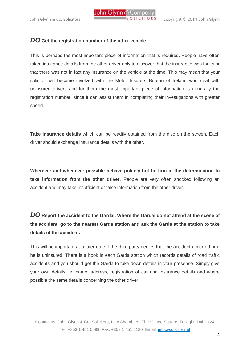

#### *DO* **Get the registration number of the other vehicle**.

This is perhaps the most important piece of information that is required. People have often taken insurance details from the other driver only to discover that the insurance was faulty or that there was not in fact any insurance on the vehicle at the time. This may mean that your solicitor will become involved with the Motor Insurers Bureau of Ireland who deal with uninsured drivers and for them the most important piece of information is generally the registration number, since it can assist them in completing their investigations with greater speed.

**Take insurance details** which can be readily obtained from the disc on the screen. Each driver should exchange insurance details with the other.

**Wherever and whenever possible behave politely but be firm in the determination to take information from the other driver**. People are very often shocked following an accident and may take insufficient or false information from the other driver.

*DO* **Report the accident to the Gardai. Where the Gardai do not attend at the scene of the accident, go to the nearest Garda station and ask the Garda at the station to take details of the accident.**

This will be important at a later date if the third party denies that the accident occurred or if he is uninsured. There is a book in each Garda station which records details of road traffic accidents and you should get the Garda to take down details in your presence. Simply give your own details i.e. name, address, registration of car and insurance details and where possible the same details concerning the other driver.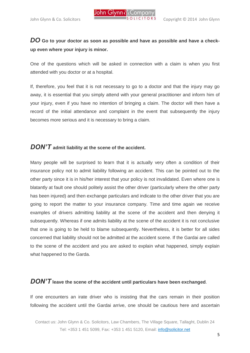

#### *DO* **Go to your doctor as soon as possible and have as possible and have a checkup even where your injury is minor.**

One of the questions which will be asked in connection with a claim is when you first attended with you doctor or at a hospital.

If, therefore, you feel that it is not necessary to go to a doctor and that the injury may go away, it is essential that you simply attend with your general practitioner and inform him of your injury, even if you have no intention of bringing a claim. The doctor will then have a record of the initial attendance and complaint in the event that subsequently the injury becomes more serious and it is necessary to bring a claim.

#### *DON'T* **admit liability at the scene of the accident.**

Many people will be surprised to learn that it is actually very often a condition of their insurance policy not to admit liability following an accident. This can be pointed out to the other party since it is in his/her interest that your policy is not invalidated. Even where one is blatantly at fault one should politely assist the other driver (particularly where the other party has been injured) and then exchange particulars and indicate to the other driver that you are going to report the matter to your insurance company. Time and time again we receive examples of drivers admitting liability at the scene of the accident and then denying it subsequently. Whereas if one admits liability at the scene of the accident it is not conclusive that one is going to be held to blame subsequently. Nevertheless, it is better for all sides concerned that liability should not be admitted at the accident scene. If the Gardai are called to the scene of the accident and you are asked to explain what happened, simply explain what happened to the Garda.

#### *DON'T* **leave the scene of the accident until particulars have been exchanged**.

If one encounters an irate driver who is insisting that the cars remain in their position following the accident until the Gardai arrive, one should be cautious here and ascertain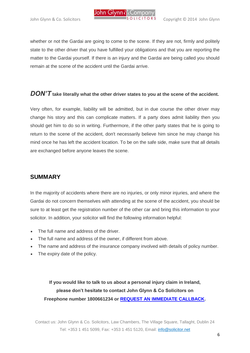

whether or not the Gardai are going to come to the scene. If they are not, firmly and politely state to the other driver that you have fulfilled your obligations and that you are reporting the matter to the Gardai yourself. If there is an injury and the Gardai are being called you should remain at the scene of the accident until the Gardai arrive.

#### *DON'T* **take literally what the other driver states to you at the scene of the accident.**

Very often, for example, liability will be admitted, but in due course the other driver may change his story and this can complicate matters. If a party does admit liability then you should get him to do so in writing. Furthermore, if the other party states that he is going to return to the scene of the accident, don't necessarily believe him since he may change his mind once he has left the accident location. To be on the safe side, make sure that all details are exchanged before anyone leaves the scene.

#### **SUMMARY**

In the majority of accidents where there are no injuries, or only minor injuries, and where the Gardai do not concern themselves with attending at the scene of the accident, you should be sure to at least get the registration number of the other car and bring this information to your solicitor. In addition, your solicitor will find the following information helpful:

- The full name and address of the driver.
- The full name and address of the owner, if different from above.
- The name and address of the insurance company involved with details of policy number.
- The expiry date of the policy.

**If you would like to talk to us about a personal injury claim in Ireland, please don't hesitate to contact John Glynn & Co Solicitors on Freephone number 1800661234 or [REQUEST AN IMMEDIATE CALLBACK.](http://www.solicitor.net/)**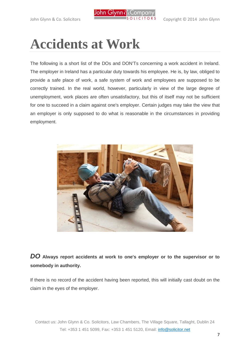

## **Accidents at Work**

The following is a short list of the DOs and DON'Ts concerning a work accident in Ireland. The employer in Ireland has a particular duty towards his employee. He is, by law, obliged to provide a safe place of work, a safe system of work and employees are supposed to be correctly trained. In the real world, however, particularly in view of the large degree of unemployment, work places are often unsatisfactory, but this of itself may not be sufficient for one to succeed in a claim against one's employer. Certain judges may take the view that an employer is only supposed to do what is reasonable in the circumstances in providing employment.



#### *DO* **Always report accidents at work to one's employer or to the supervisor or to somebody in authority.**

If there is no record of the accident having been reported, this will initially cast doubt on the claim in the eyes of the employer.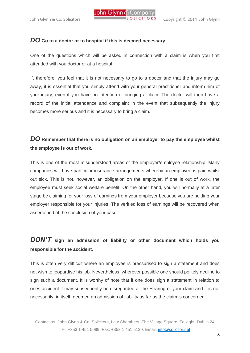

#### *DO* **Go to a doctor or to hospital if this is deemed necessary.**

One of the questions which will be asked in connection with a claim is when you first attended with you doctor or at a hospital.

If, therefore, you feel that it is not necessary to go to a doctor and that the injury may go away, it is essential that you simply attend with your general practitioner and inform him of your injury, even if you have no intention of bringing a claim. The doctor will then have a record of the initial attendance and complaint in the event that subsequently the injury becomes more serious and it is necessary to bring a claim.

#### *DO* **Remember that there is no obligation on an employer to pay the employee whilst the employee is out of work.**

This is one of the most misunderstood areas of the employer/employee relationship. Many companies will have particular insurance arrangements whereby an employee is paid whilst out sick. This is not, however, an obligation on the employer. If one is out of work, the employee must seek social welfare benefit. On the other hand, you will normally at a later stage be claiming for your loss of earnings from your employer because you are holding your employer responsible for your injuries. The verified loss of earnings will be recovered when ascertained at the conclusion of your case.

#### *DON'T* **sign an admission of liability or other document which holds you responsible for the accident.**

This is often very difficult where an employee is pressurised to sign a statement and does not wish to jeopardise his job. Nevertheless, wherever possible one should politely decline to sign such a document. It is worthy of note that if one does sign a statement in relation to ones accident it may subsequently be disregarded at the Hearing of your claim and it is not necessarily, in itself, deemed an admission of liability as far as the claim is concerned.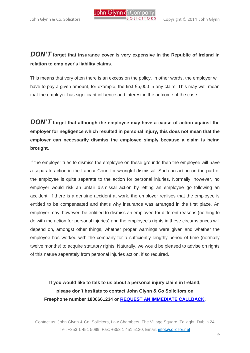

#### *DON'T* **forget that insurance cover is very expensive in the Republic of Ireland in relation to employer's liability claims.**

This means that very often there is an excess on the policy. In other words, the employer will have to pay a given amount, for example, the first €5,000 in any claim. This may well mean that the employer has significant influence and interest in the outcome of the case.

*DON'T* **forget that although the employee may have a cause of action against the employer for negligence which resulted in personal injury, this does not mean that the employer can necessarily dismiss the employee simply because a claim is being brought.**

If the employer tries to dismiss the employee on these grounds then the employee will have a separate action in the Labour Court for wrongful dismissal. Such an action on the part of the employee is quite separate to the action for personal injuries. Normally, however, no employer would risk an unfair dismissal action by letting an employee go following an accident. If there is a genuine accident at work, the employer realises that the employee is entitled to be compensated and that's why insurance was arranged in the first place. An employer may, however, be entitled to dismiss an employee for different reasons (nothing to do with the action for personal injuries) and the employee's rights in these circumstances will depend on, amongst other things, whether proper warnings were given and whether the employee has worked with the company for a sufficiently lengthy period of time (normally twelve months) to acquire statutory rights. Naturally, we would be pleased to advise on rights of this nature separately from personal injuries action, if so required.

**If you would like to talk to us about a personal injury claim in Ireland, please don't hesitate to contact John Glynn & Co Solicitors on Freephone number 1800661234 or [REQUEST AN IMMEDIATE CALLBACK.](http://www.solicitor.net/)**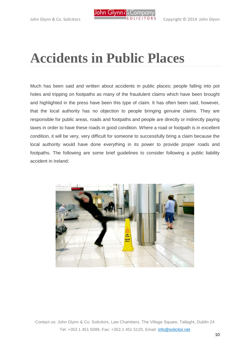

## **Accidents in Public Places**

Much has been said and written about accidents in public places; people falling into pot holes and tripping on footpaths as many of the fraudulent claims which have been brought and highlighted in the press have been this type of claim. It has often been said, however, that the local authority has no objection to people bringing genuine claims. They are responsible for public areas, roads and footpaths and people are directly or indirectly paying taxes in order to have these roads in good condition. Where a road or footpath is in excellent condition, it will be very, very difficult for someone to successfully bring a claim because the local authority would have done everything in its power to provide proper roads and footpaths. The following are some brief guidelines to consider following a public liability accident in Ireland:

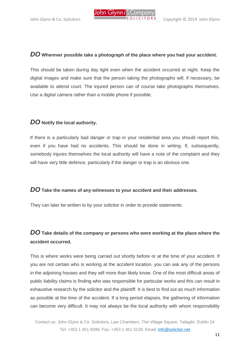#### *DO* **Wherever possible take a photograph of the place where you had your accident.**

This should be taken during day light even when the accident occurred at night. Keep the digital images and make sure that the person taking the photographs will, if necessary, be available to attend court. The injured person can of course take photographs themselves. Use a digital camera rather than a mobile phone if possible.

#### *DO* **Notify the local authority.**

If there is a particularly bad danger or trap in your residential area you should report this, even if you have had no accidents. This should be done in writing. If, subsequently, somebody injures themselves the local authority will have a note of the complaint and they will have very little defence, particularly if the danger or trap is an obvious one.

#### *DO* **Take the names of any witnesses to your accident and their addresses.**

They can later be written to by your solicitor in order to provide statements.

#### *DO* **Take details of the company or persons who were working at the place where the accident occurred.**

This is where works were being carried out shortly before or at the time of your accident. If you are not certain who is working at the accident location, you can ask any of the persons in the adjoining houses and they will more than likely know. One of the most difficult areas of public liability claims is finding who was responsible for particular works and this can result in exhaustive research by the solicitor and the plaintiff. It is best to find out as much information as possible at the time of the accident. If a long period elapses, the gathering of information can become very difficult. It may not always be the local authority with whom responsibility